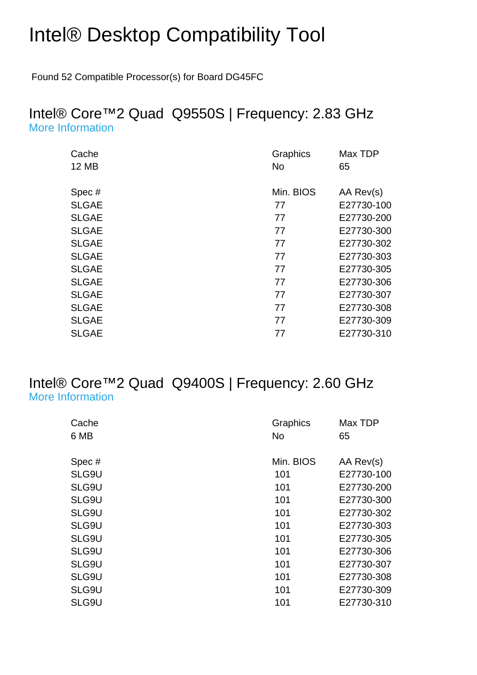# Intel® Desktop Compatibility Tool

Found 52 Compatible Processor(s) for Board DG45FC

#### Intel® Core™2 Quad Q9550S | Frequency: 2.83 GHz [More Information](http://ark.intel.com/Product.aspx?spec=SLGAE)

| Cache        | Graphics  | Max TDP    |
|--------------|-----------|------------|
| <b>12 MB</b> | <b>No</b> | 65         |
| Spec#        | Min. BIOS | AA Rev(s)  |
| <b>SLGAE</b> | 77        | E27730-100 |
| <b>SLGAE</b> | 77        | E27730-200 |
| <b>SLGAE</b> | 77        | E27730-300 |
| <b>SLGAE</b> | 77        | E27730-302 |
| <b>SLGAE</b> | 77        | E27730-303 |
| <b>SLGAE</b> | 77        | E27730-305 |
| <b>SLGAE</b> | 77        | E27730-306 |
| <b>SLGAE</b> | 77        | E27730-307 |
| <b>SLGAE</b> | 77        | E27730-308 |
| <b>SLGAE</b> | 77        | E27730-309 |
| <b>SLGAE</b> | 77        | E27730-310 |

#### Intel® Core™2 Quad Q9400S | Frequency: 2.60 GHz [More Information](http://ark.intel.com/Product.aspx?spec=SLG9U)

| Graphics  | Max TDP    |
|-----------|------------|
|           | 65         |
| Min. BIOS | AA Rev(s)  |
| 101       | E27730-100 |
| 101       | E27730-200 |
| 101       | E27730-300 |
| 101       | E27730-302 |
| 101       | E27730-303 |
| 101       | E27730-305 |
| 101       | E27730-306 |
| 101       | E27730-307 |
| 101       | E27730-308 |
| 101       | E27730-309 |
| 101       | E27730-310 |
|           | No         |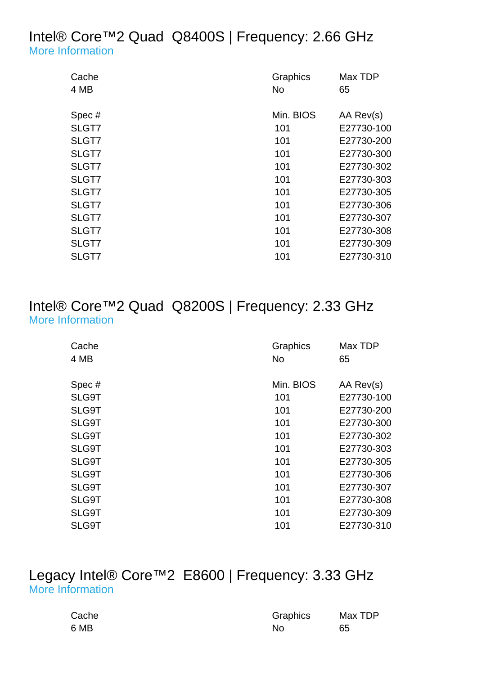## Intel® Core™2 Quad Q8400S | Frequency: 2.66 GHz [More Information](http://ark.intel.com/Product.aspx?spec=SLGT7)

| Min. BIOS<br>AA Rev(s)<br>Spec#<br>SLGT7<br>E27730-100<br>101<br>SLGT7<br>101<br>SLGT7<br>101<br>E27730-300<br>SLGT7<br>E27730-302<br>101<br>SLGT7<br>101<br>E27730-303<br>SLGT7<br>101<br>SLGT7<br>101<br>E27730-306<br>SLGT7<br>101<br>E27730-307<br>SLGT7<br>101<br>E27730-308<br>SLGT7<br>101<br>E27730-309<br>SLGT7<br>101<br>E27730-310 | Cache | Graphics  | Max TDP    |
|-----------------------------------------------------------------------------------------------------------------------------------------------------------------------------------------------------------------------------------------------------------------------------------------------------------------------------------------------|-------|-----------|------------|
|                                                                                                                                                                                                                                                                                                                                               | 4 MB  | <b>No</b> | 65         |
|                                                                                                                                                                                                                                                                                                                                               |       |           |            |
|                                                                                                                                                                                                                                                                                                                                               |       |           |            |
|                                                                                                                                                                                                                                                                                                                                               |       |           | E27730-200 |
|                                                                                                                                                                                                                                                                                                                                               |       |           |            |
|                                                                                                                                                                                                                                                                                                                                               |       |           |            |
|                                                                                                                                                                                                                                                                                                                                               |       |           |            |
|                                                                                                                                                                                                                                                                                                                                               |       |           | E27730-305 |
|                                                                                                                                                                                                                                                                                                                                               |       |           |            |
|                                                                                                                                                                                                                                                                                                                                               |       |           |            |
|                                                                                                                                                                                                                                                                                                                                               |       |           |            |
|                                                                                                                                                                                                                                                                                                                                               |       |           |            |
|                                                                                                                                                                                                                                                                                                                                               |       |           |            |

## Intel® Core™2 Quad Q8200S | Frequency: 2.33 GHz [More Information](http://ark.intel.com/Product.aspx?spec=SLG9T)

| Cache | Graphics  | Max TDP    |
|-------|-----------|------------|
| 4 MB  | No        | 65         |
|       |           |            |
| Spec# | Min. BIOS | AA Rev(s)  |
| SLG9T | 101       | E27730-100 |
| SLG9T | 101       | E27730-200 |
| SLG9T | 101       | E27730-300 |
| SLG9T | 101       | E27730-302 |
| SLG9T | 101       | E27730-303 |
| SLG9T | 101       | E27730-305 |
| SLG9T | 101       | E27730-306 |
| SLG9T | 101       | E27730-307 |
| SLG9T | 101       | E27730-308 |
| SLG9T | 101       | E27730-309 |
| SLG9T | 101       | E27730-310 |

## Legacy Intel® Core™2 E8600 | Frequency: 3.33 GHz [More Information](http://ark.intel.com/Product.aspx?spec=SLB9L)

| Cache | Graphics | Max TDP |
|-------|----------|---------|
| 6 MB  | No       | 65      |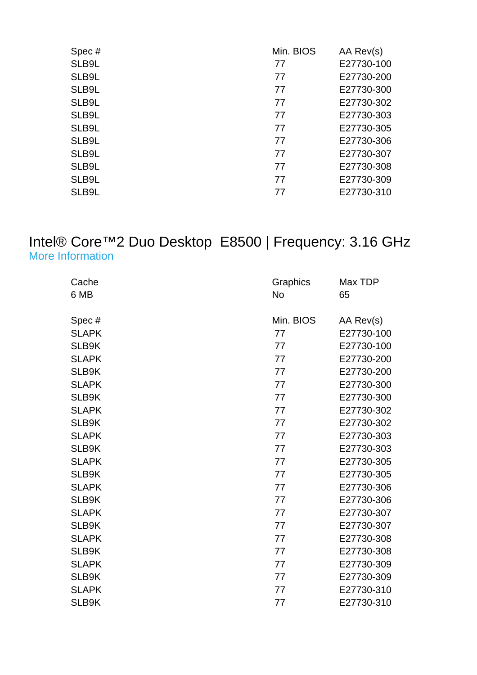| Min. BIOS | AA Rev(s)  |
|-----------|------------|
| 77        | E27730-100 |
| 77        | E27730-200 |
| 77        | E27730-300 |
| 77        | E27730-302 |
| 77        | E27730-303 |
| 77        | E27730-305 |
| 77        | E27730-306 |
| 77        | E27730-307 |
| 77        | E27730-308 |
| 77        | E27730-309 |
| 77        | E27730-310 |
|           |            |

#### Intel® Core™2 Duo Desktop E8500 | Frequency: 3.16 GHz [More Information](http://ark.intel.com/Product.aspx?spec=SLAPK)

| Cache        | Graphics  | Max TDP    |
|--------------|-----------|------------|
| 6 MB         | <b>No</b> | 65         |
|              |           |            |
| Spec#        | Min. BIOS | AA Rev(s)  |
| <b>SLAPK</b> | 77        | E27730-100 |
| SLB9K        | 77        | E27730-100 |
| <b>SLAPK</b> | 77        | E27730-200 |
| SLB9K        | 77        | E27730-200 |
| <b>SLAPK</b> | 77        | E27730-300 |
| SLB9K        | 77        | E27730-300 |
| <b>SLAPK</b> | 77        | E27730-302 |
| SLB9K        | 77        | E27730-302 |
| <b>SLAPK</b> | 77        | E27730-303 |
| SLB9K        | 77        | E27730-303 |
| <b>SLAPK</b> | 77        | E27730-305 |
| SLB9K        | 77        | E27730-305 |
| <b>SLAPK</b> | 77        | E27730-306 |
| SLB9K        | 77        | E27730-306 |
| <b>SLAPK</b> | 77        | E27730-307 |
| SLB9K        | 77        | E27730-307 |
| <b>SLAPK</b> | 77        | E27730-308 |
| SLB9K        | 77        | E27730-308 |
| <b>SLAPK</b> | 77        | E27730-309 |
| SLB9K        | 77        | E27730-309 |
| <b>SLAPK</b> | 77        | E27730-310 |
| SLB9K        | 77        | E27730-310 |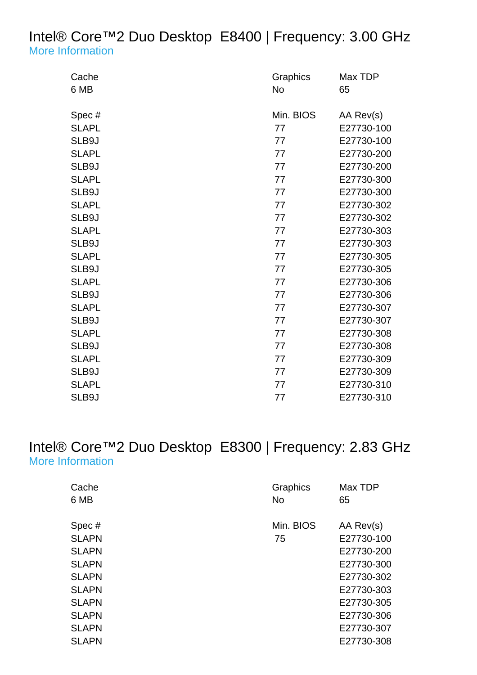# Intel® Core™2 Duo Desktop E8400 | Frequency: 3.00 GHz [More Information](http://ark.intel.com/Product.aspx?spec=SLAPL)

| Cache        | Graphics  | Max TDP    |
|--------------|-----------|------------|
| 6 MB         | <b>No</b> | 65         |
|              |           |            |
| Spec#        | Min. BIOS | AA Rev(s)  |
| <b>SLAPL</b> | 77        | E27730-100 |
| SLB9J        | 77        | E27730-100 |
| <b>SLAPL</b> | 77        | E27730-200 |
| SLB9J        | 77        | E27730-200 |
| <b>SLAPL</b> | 77        | E27730-300 |
| SLB9J        | 77        | E27730-300 |
| <b>SLAPL</b> | 77        | E27730-302 |
| SLB9J        | 77        | E27730-302 |
| <b>SLAPL</b> | 77        | E27730-303 |
| SLB9J        | 77        | E27730-303 |
| <b>SLAPL</b> | 77        | E27730-305 |
| SLB9J        | 77        | E27730-305 |
| <b>SLAPL</b> | 77        | E27730-306 |
| SLB9J        | 77        | E27730-306 |
| <b>SLAPL</b> | 77        | E27730-307 |
| SLB9J        | 77        | E27730-307 |
| <b>SLAPL</b> | 77        | E27730-308 |
| SLB9J        | 77        | E27730-308 |
| <b>SLAPL</b> | 77        | E27730-309 |
| SLB9J        | 77        | E27730-309 |
| <b>SLAPL</b> | 77        | E27730-310 |
| SLB9J        | 77        | E27730-310 |

## Intel® Core™2 Duo Desktop E8300 | Frequency: 2.83 GHz [More Information](http://ark.intel.com/Product.aspx?spec=SLAPN)

| Cache<br>6 MB | Graphics<br><b>No</b> | Max TDP<br>65 |
|---------------|-----------------------|---------------|
| Spec#         | Min. BIOS             | AA Rev(s)     |
| <b>SLAPN</b>  | 75                    | E27730-100    |
| <b>SLAPN</b>  |                       | E27730-200    |
| <b>SLAPN</b>  |                       | E27730-300    |
| <b>SLAPN</b>  |                       | E27730-302    |
| <b>SLAPN</b>  |                       | E27730-303    |
| <b>SLAPN</b>  |                       | E27730-305    |
| <b>SLAPN</b>  |                       | E27730-306    |
| <b>SLAPN</b>  |                       | E27730-307    |
| <b>SLAPN</b>  |                       | E27730-308    |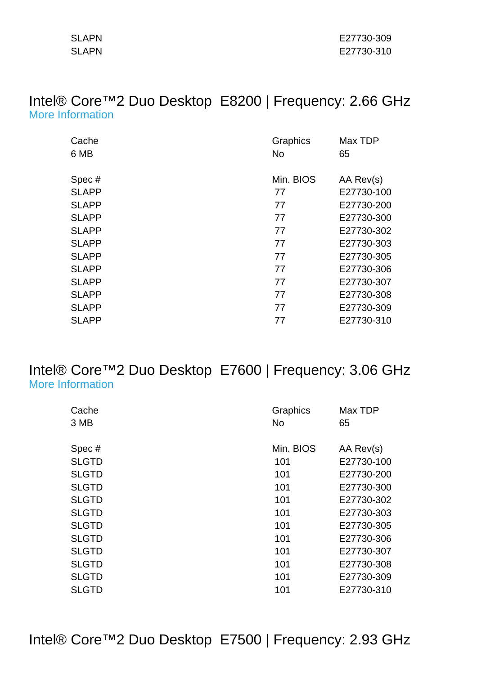| <b>SLAPN</b> |  |
|--------------|--|
| <b>SLAPN</b> |  |

#### Intel® Core™2 Duo Desktop E8200 | Frequency: 2.66 GHz [More Information](http://ark.intel.com/Product.aspx?spec=SLAPP)

| Cache        | Graphics  | Max TDP    |
|--------------|-----------|------------|
| 6 MB         | <b>No</b> | 65         |
|              |           |            |
| Spec#        | Min. BIOS | AA Rev(s)  |
| <b>SLAPP</b> | 77        | E27730-100 |
| <b>SLAPP</b> | 77        | E27730-200 |
| <b>SLAPP</b> | 77        | E27730-300 |
| <b>SLAPP</b> | 77        | E27730-302 |
| <b>SLAPP</b> | 77        | E27730-303 |
| <b>SLAPP</b> | 77        | E27730-305 |
| <b>SLAPP</b> | 77        | E27730-306 |
| <b>SLAPP</b> | 77        | E27730-307 |
| <b>SLAPP</b> | 77        | E27730-308 |
| <b>SLAPP</b> | 77        | E27730-309 |
| <b>SLAPP</b> | 77        | E27730-310 |

## Intel® Core™2 Duo Desktop E7600 | Frequency: 3.06 GHz [More Information](http://ark.intel.com/Product.aspx?spec=SLGTD)

| Cache        | Graphics  | Max TDP    |
|--------------|-----------|------------|
| 3 MB         | No        | 65         |
|              |           |            |
| Spec#        | Min. BIOS | AA Rev(s)  |
| <b>SLGTD</b> | 101       | E27730-100 |
| <b>SLGTD</b> | 101       | E27730-200 |
| <b>SLGTD</b> | 101       | E27730-300 |
| <b>SLGTD</b> | 101       | E27730-302 |
| <b>SLGTD</b> | 101       | E27730-303 |
| <b>SLGTD</b> | 101       | E27730-305 |
| <b>SLGTD</b> | 101       | E27730-306 |
| <b>SLGTD</b> | 101       | E27730-307 |
| <b>SLGTD</b> | 101       | E27730-308 |
| <b>SLGTD</b> | 101       | E27730-309 |
| <b>SLGTD</b> | 101       | E27730-310 |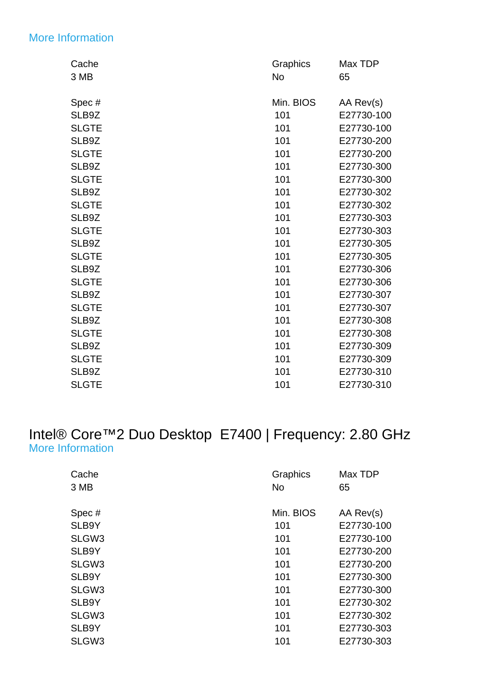## [More Information](http://ark.intel.com/Product.aspx?spec=SLB9Z)

| Cache        | Graphics  | Max TDP    |
|--------------|-----------|------------|
| 3 MB         | No        | 65         |
| Spec#        | Min. BIOS | AA Rev(s)  |
| SLB9Z        | 101       | E27730-100 |
| <b>SLGTE</b> | 101       | E27730-100 |
| SLB9Z        | 101       | E27730-200 |
| <b>SLGTE</b> | 101       | E27730-200 |
| SLB9Z        | 101       | E27730-300 |
| <b>SLGTE</b> | 101       | E27730-300 |
| SLB9Z        | 101       | E27730-302 |
| <b>SLGTE</b> | 101       | E27730-302 |
| SLB9Z        | 101       | E27730-303 |
| <b>SLGTE</b> | 101       | E27730-303 |
| SLB9Z        | 101       | E27730-305 |
| <b>SLGTE</b> | 101       | E27730-305 |
| SLB9Z        | 101       | E27730-306 |
| <b>SLGTE</b> | 101       | E27730-306 |
| SLB9Z        | 101       | E27730-307 |
| <b>SLGTE</b> | 101       | E27730-307 |
| SLB9Z        | 101       | E27730-308 |
| <b>SLGTE</b> | 101       | E27730-308 |
| SLB9Z        | 101       | E27730-309 |
| <b>SLGTE</b> | 101       | E27730-309 |
| SLB9Z        | 101       | E27730-310 |
| <b>SLGTE</b> | 101       | E27730-310 |

# Intel® Core™2 Duo Desktop E7400 | Frequency: 2.80 GHz [More Information](http://ark.intel.com/Product.aspx?spec=SLB9Y)

| Cache             | Graphics  | Max TDP    |
|-------------------|-----------|------------|
| 3 MB              | No        | 65         |
|                   |           |            |
| Spec#             | Min. BIOS | AA Rev(s)  |
| SLB9Y             | 101       | E27730-100 |
| SLGW3             | 101       | E27730-100 |
| SLB9Y             | 101       | E27730-200 |
| SLGW3             | 101       | E27730-200 |
| SLB9Y             | 101       | E27730-300 |
| SLGW <sub>3</sub> | 101       | E27730-300 |
| SLB9Y             | 101       | E27730-302 |
| SLGW3             | 101       | E27730-302 |
| SLB9Y             | 101       | E27730-303 |
| SLGW3             | 101       | E27730-303 |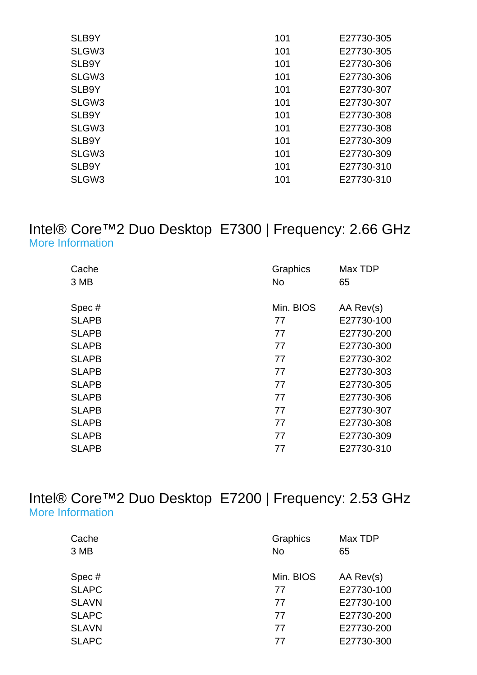| SLB9Y             | 101 | E27730-305 |
|-------------------|-----|------------|
| SLGW3             | 101 | E27730-305 |
| SLB9Y             | 101 | E27730-306 |
| SLGW <sub>3</sub> | 101 | E27730-306 |
| SLB9Y             | 101 | E27730-307 |
| SLGW <sub>3</sub> | 101 | E27730-307 |
| SLB9Y             | 101 | E27730-308 |
| SLGW <sub>3</sub> | 101 | E27730-308 |
| SLB9Y             | 101 | E27730-309 |
| SLGW <sub>3</sub> | 101 | E27730-309 |
| SLB9Y             | 101 | E27730-310 |
| SLGW <sub>3</sub> | 101 | E27730-310 |
|                   |     |            |

## Intel® Core™2 Duo Desktop E7300 | Frequency: 2.66 GHz [More Information](http://ark.intel.com/Product.aspx?spec=SLAPB)

| Cache        | Graphics  | Max TDP    |
|--------------|-----------|------------|
| 3 MB         | <b>No</b> | 65         |
|              | Min. BIOS |            |
| Spec#        |           | AA Rev(s)  |
| <b>SLAPB</b> | 77        | E27730-100 |
| <b>SLAPB</b> | 77        | E27730-200 |
| <b>SLAPB</b> | 77        | E27730-300 |
| <b>SLAPB</b> | 77        | E27730-302 |
| <b>SLAPB</b> | 77        | E27730-303 |
| <b>SLAPB</b> | 77        | E27730-305 |
| <b>SLAPB</b> | 77        | E27730-306 |
| <b>SLAPB</b> | 77        | E27730-307 |
| <b>SLAPB</b> | 77        | E27730-308 |
| <b>SLAPB</b> | 77        | E27730-309 |
| <b>SLAPB</b> | 77        | E27730-310 |

Intel® Core™2 Duo Desktop E7200 | Frequency: 2.53 GHz [More Information](http://ark.intel.com/Product.aspx?spec=SLAPC)

| Cache        | Graphics  | Max TDP    |
|--------------|-----------|------------|
| 3 MB         | <b>No</b> | 65         |
| Spec #       | Min. BIOS | AA Rev(s)  |
| <b>SLAPC</b> | 77        | E27730-100 |
| <b>SLAVN</b> | 77        | E27730-100 |
| <b>SLAPC</b> | 77        | E27730-200 |
| <b>SLAVN</b> | 77        | E27730-200 |
| <b>SLAPC</b> | 77        | E27730-300 |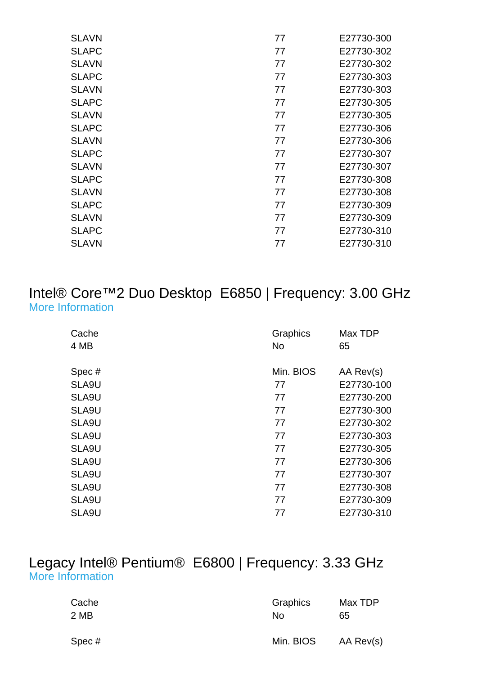| <b>SLAVN</b> | 77 | E27730-300 |
|--------------|----|------------|
| <b>SLAPC</b> | 77 | E27730-302 |
| <b>SLAVN</b> | 77 | E27730-302 |
| <b>SLAPC</b> | 77 | E27730-303 |
| <b>SLAVN</b> | 77 | E27730-303 |
| <b>SLAPC</b> | 77 | E27730-305 |
| <b>SLAVN</b> | 77 | E27730-305 |
| <b>SLAPC</b> | 77 | E27730-306 |
| <b>SLAVN</b> | 77 | E27730-306 |
| <b>SLAPC</b> | 77 | E27730-307 |
| <b>SLAVN</b> | 77 | E27730-307 |
| <b>SLAPC</b> | 77 | E27730-308 |
| <b>SLAVN</b> | 77 | E27730-308 |
| <b>SLAPC</b> | 77 | E27730-309 |
| <b>SLAVN</b> | 77 | E27730-309 |
| <b>SLAPC</b> | 77 | E27730-310 |
| <b>SLAVN</b> | 77 | E27730-310 |
|              |    |            |

#### Intel® Core™2 Duo Desktop E6850 | Frequency: 3.00 GHz [More Information](http://ark.intel.com/Product.aspx?spec=SLA9U                                              )

| Cache | Graphics  | Max TDP    |
|-------|-----------|------------|
| 4 MB  | <b>No</b> | 65         |
| Spec# | Min. BIOS | AA Rev(s)  |
| SLA9U | 77        | E27730-100 |
| SLA9U | 77        | E27730-200 |
| SLA9U | 77        | E27730-300 |
| SLA9U | 77        | E27730-302 |
| SLA9U | 77        | E27730-303 |
| SLA9U | 77        | E27730-305 |
| SLA9U | 77        | E27730-306 |
| SLA9U | 77        | E27730-307 |
| SLA9U | 77        | E27730-308 |
| SLA9U | 77        | E27730-309 |
| SLA9U | 77        | E27730-310 |

## Legacy Intel® Pentium® E6800 | Frequency: 3.33 GHz [More Information](http://ark.intel.com/Product.aspx?spec=SLGUE)

| Cache | Graphics  | Max TDP   |
|-------|-----------|-----------|
| 2 MB  | Nο        | 65        |
| Spec# | Min. BIOS | AA Rev(s) |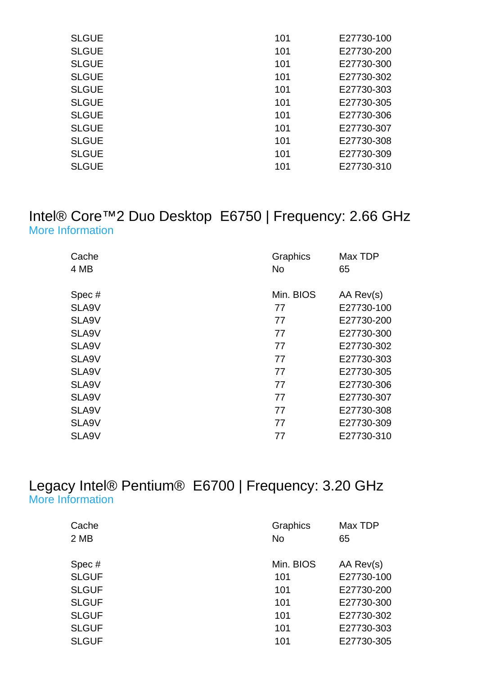| <b>SLGUE</b> | 101 | E27730-100 |
|--------------|-----|------------|
| <b>SLGUE</b> | 101 | E27730-200 |
| <b>SLGUE</b> | 101 | E27730-300 |
| <b>SLGUE</b> | 101 | E27730-302 |
| <b>SLGUE</b> | 101 | E27730-303 |
| <b>SLGUE</b> | 101 | E27730-305 |
| <b>SLGUE</b> | 101 | E27730-306 |
| <b>SLGUE</b> | 101 | E27730-307 |
| <b>SLGUE</b> | 101 | E27730-308 |
| <b>SLGUE</b> | 101 | E27730-309 |
| <b>SLGUE</b> | 101 | E27730-310 |
|              |     |            |

#### Intel® Core™2 Duo Desktop E6750 | Frequency: 2.66 GHz [More Information](http://ark.intel.com/Product.aspx?spec=SLA9V                                              )

| Cache | Graphics  | Max TDP    |
|-------|-----------|------------|
| 4 MB  | <b>No</b> | 65         |
| Spec# | Min. BIOS | AA Rev(s)  |
| SLA9V | 77        | E27730-100 |
| SLA9V | 77        | E27730-200 |
| SLA9V | 77        | E27730-300 |
| SLA9V | 77        | E27730-302 |
| SLA9V | 77        | E27730-303 |
| SLA9V | 77        | E27730-305 |
| SLA9V | 77        | E27730-306 |
| SLA9V | 77        | E27730-307 |
| SLA9V | 77        | E27730-308 |
| SLA9V | 77        | E27730-309 |
| SLA9V | 77        | E27730-310 |

## Legacy Intel® Pentium® E6700 | Frequency: 3.20 GHz [More Information](http://ark.intel.com/Product.aspx?spec=SLGUF)

| Cache        | Graphics  | Max TDP    |
|--------------|-----------|------------|
| 2 MB         | <b>No</b> | 65         |
| Spec#        | Min. BIOS | AA Rev(s)  |
| <b>SLGUF</b> | 101       | E27730-100 |
| <b>SLGUF</b> | 101       | E27730-200 |
| <b>SLGUF</b> | 101       | E27730-300 |
| <b>SLGUF</b> | 101       | E27730-302 |
| <b>SLGUF</b> | 101       | E27730-303 |
| <b>SLGUF</b> | 101       | E27730-305 |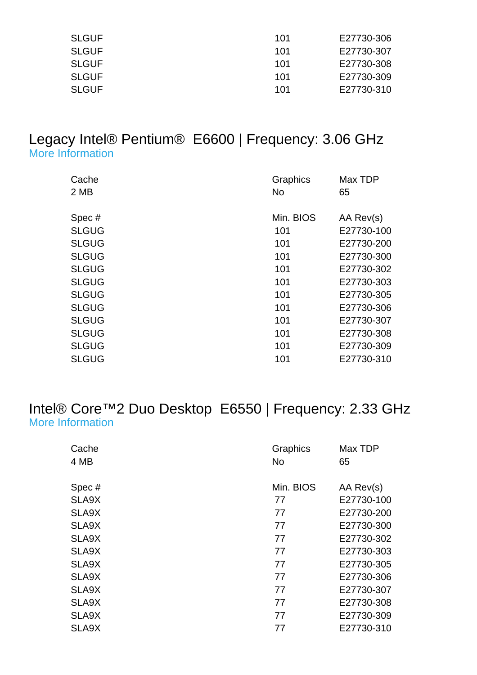| <b>SLGUF</b> | 101 | E27730-306 |
|--------------|-----|------------|
| <b>SLGUF</b> | 101 | E27730-307 |
| <b>SLGUF</b> | 101 | E27730-308 |
| <b>SLGUF</b> | 101 | E27730-309 |
| <b>SLGUF</b> | 101 | E27730-310 |

#### Legacy Intel® Pentium® E6600 | Frequency: 3.06 GHz [More Information](http://ark.intel.com/Product.aspx?spec=SLGUG)

| Cache        | Graphics  | Max TDP    |
|--------------|-----------|------------|
| 2 MB         | <b>No</b> | 65         |
|              |           |            |
| Spec#        | Min. BIOS | AA Rev(s)  |
| <b>SLGUG</b> | 101       | E27730-100 |
| <b>SLGUG</b> | 101       | E27730-200 |
| <b>SLGUG</b> | 101       | E27730-300 |
| <b>SLGUG</b> | 101       | E27730-302 |
| <b>SLGUG</b> | 101       | E27730-303 |
| <b>SLGUG</b> | 101       | E27730-305 |
| <b>SLGUG</b> | 101       | E27730-306 |
| <b>SLGUG</b> | 101       | E27730-307 |
| <b>SLGUG</b> | 101       | E27730-308 |
| <b>SLGUG</b> | 101       | E27730-309 |
| <b>SLGUG</b> | 101       | E27730-310 |

# Intel® Core™2 Duo Desktop E6550 | Frequency: 2.33 GHz [More Information](http://ark.intel.com/Product.aspx?spec=SLA9X                                              )

| Cache | Graphics  | Max TDP    |
|-------|-----------|------------|
| 4 MB  | No        | 65         |
|       |           |            |
| Spec# | Min. BIOS | AA Rev(s)  |
| SLA9X | 77        | E27730-100 |
| SLA9X | 77        | E27730-200 |
| SLA9X | 77        | E27730-300 |
| SLA9X | 77        | E27730-302 |
| SLA9X | 77        | E27730-303 |
| SLA9X | 77        | E27730-305 |
| SLA9X | 77        | E27730-306 |
| SLA9X | 77        | E27730-307 |
| SLA9X | 77        | E27730-308 |
| SLA9X | 77        | E27730-309 |
| SLA9X | 77        | E27730-310 |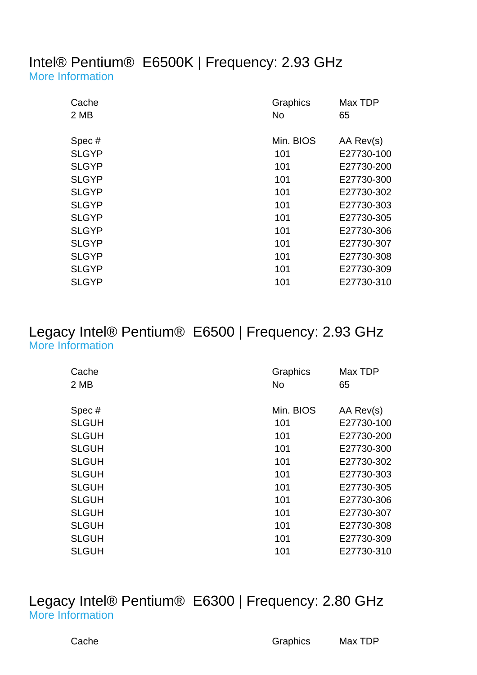#### Intel® Pentium® E6500K | Frequency: 2.93 GHz [More Information](http://ark.intel.com/Product.aspx?spec=SLGYP)

| Cache<br>2 MB | Graphics<br>No. | Max TDP<br>65 |
|---------------|-----------------|---------------|
| Spec#         | Min. BIOS       | AA Rev(s)     |
| <b>SLGYP</b>  | 101             | E27730-100    |
| <b>SLGYP</b>  | 101             | E27730-200    |
| <b>SLGYP</b>  | 101             | E27730-300    |
| <b>SLGYP</b>  | 101             | E27730-302    |
| <b>SLGYP</b>  | 101             | E27730-303    |
| <b>SLGYP</b>  | 101             | E27730-305    |
| <b>SLGYP</b>  | 101             | E27730-306    |
| <b>SLGYP</b>  | 101             | E27730-307    |
| <b>SLGYP</b>  | 101             | E27730-308    |
| <b>SLGYP</b>  | 101             | E27730-309    |
| <b>SLGYP</b>  | 101             | E27730-310    |

## Legacy Intel® Pentium® E6500 | Frequency: 2.93 GHz [More Information](http://ark.intel.com/Product.aspx?spec=SLGUH)

| Cache        | Graphics  | Max TDP    |
|--------------|-----------|------------|
| 2 MB         | <b>No</b> | 65         |
|              |           |            |
| Spec#        | Min. BIOS | AA Rev(s)  |
| <b>SLGUH</b> | 101       | E27730-100 |
| <b>SLGUH</b> | 101       | E27730-200 |
| <b>SLGUH</b> | 101       | E27730-300 |
| <b>SLGUH</b> | 101       | E27730-302 |
| <b>SLGUH</b> | 101       | E27730-303 |
| <b>SLGUH</b> | 101       | E27730-305 |
| <b>SLGUH</b> | 101       | E27730-306 |
| <b>SLGUH</b> | 101       | E27730-307 |
| <b>SLGUH</b> | 101       | E27730-308 |
| <b>SLGUH</b> | 101       | E27730-309 |
| <b>SLGUH</b> | 101       | E27730-310 |

## Legacy Intel® Pentium® E6300 | Frequency: 2.80 GHz [More Information](http://ark.intel.com/Product.aspx?spec=SLGU9)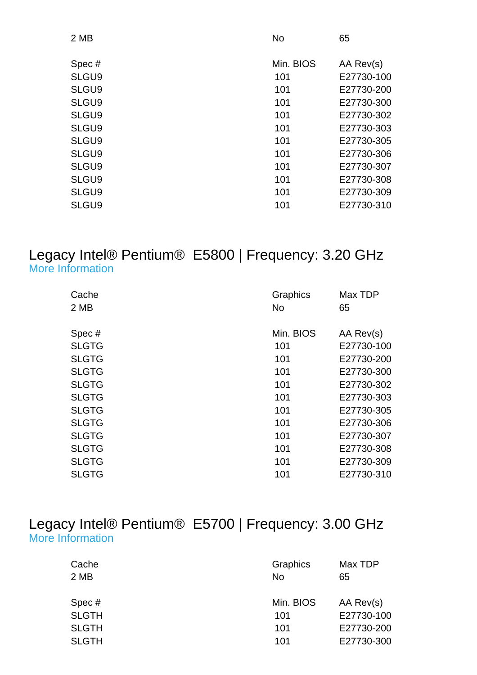| 2 MB  | <b>No</b> | 65         |
|-------|-----------|------------|
| Spec# | Min. BIOS | AA Rev(s)  |
| SLGU9 | 101       | E27730-100 |
| SLGU9 | 101       | E27730-200 |
| SLGU9 | 101       | E27730-300 |
| SLGU9 | 101       | E27730-302 |
| SLGU9 | 101       | E27730-303 |
| SLGU9 | 101       | E27730-305 |
| SLGU9 | 101       | E27730-306 |
| SLGU9 | 101       | E27730-307 |
| SLGU9 | 101       | E27730-308 |
| SLGU9 | 101       | E27730-309 |
| SLGU9 | 101       | E27730-310 |

#### Legacy Intel® Pentium® E5800 | Frequency: 3.20 GHz [More Information](http://ark.intel.com/Product.aspx?spec=SLGTG)

| Cache        | Graphics  | Max TDP    |
|--------------|-----------|------------|
| 2 MB         | No        | 65         |
|              |           |            |
| Spec#        | Min. BIOS | AA Rev(s)  |
| <b>SLGTG</b> | 101       | E27730-100 |
| <b>SLGTG</b> | 101       | E27730-200 |
| <b>SLGTG</b> | 101       | E27730-300 |
| <b>SLGTG</b> | 101       | E27730-302 |
| <b>SLGTG</b> | 101       | E27730-303 |
| <b>SLGTG</b> | 101       | E27730-305 |
| <b>SLGTG</b> | 101       | E27730-306 |
| <b>SLGTG</b> | 101       | E27730-307 |
| <b>SLGTG</b> | 101       | E27730-308 |
| <b>SLGTG</b> | 101       | E27730-309 |
| <b>SLGTG</b> | 101       | E27730-310 |

## Legacy Intel® Pentium® E5700 | Frequency: 3.00 GHz [More Information](http://ark.intel.com/Product.aspx?spec=SLGTH)

| Cache<br>2 MB | Graphics<br><b>No</b> | Max TDP<br>65 |
|---------------|-----------------------|---------------|
| Spec#         | Min. BIOS             | AA Rev(s)     |
| <b>SLGTH</b>  | 101                   | E27730-100    |
| <b>SLGTH</b>  | 101                   | E27730-200    |
| <b>SLGTH</b>  | 101                   | E27730-300    |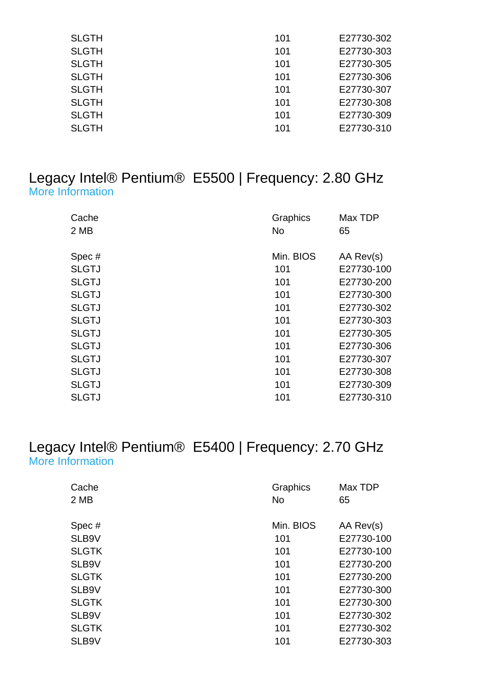| <b>SLGTH</b> | 101 | E27730-302 |
|--------------|-----|------------|
| <b>SLGTH</b> | 101 | E27730-303 |
| <b>SLGTH</b> | 101 | E27730-305 |
| <b>SLGTH</b> | 101 | E27730-306 |
| <b>SLGTH</b> | 101 | E27730-307 |
| <b>SLGTH</b> | 101 | E27730-308 |
| <b>SLGTH</b> | 101 | E27730-309 |
| <b>SLGTH</b> | 101 | E27730-310 |

#### Legacy Intel® Pentium® E5500 | Frequency: 2.80 GHz [More Information](http://ark.intel.com/Product.aspx?spec=SLGTJ)

| Cache<br>2 MB | Graphics<br>No | Max TDP<br>65 |
|---------------|----------------|---------------|
| Spec#         | Min. BIOS      | AA Rev(s)     |
| <b>SLGTJ</b>  | 101            | E27730-100    |
| <b>SLGTJ</b>  | 101            | E27730-200    |
| <b>SLGTJ</b>  | 101            | E27730-300    |
| <b>SLGTJ</b>  | 101            | E27730-302    |
| <b>SLGTJ</b>  | 101            | E27730-303    |
| <b>SLGTJ</b>  | 101            | E27730-305    |
| <b>SLGTJ</b>  | 101            | E27730-306    |
| <b>SLGTJ</b>  | 101            | E27730-307    |
| <b>SLGTJ</b>  | 101            | E27730-308    |
| <b>SLGTJ</b>  | 101            | E27730-309    |
| <b>SLGTJ</b>  | 101            | E27730-310    |

## Legacy Intel® Pentium® E5400 | Frequency: 2.70 GHz [More Information](http://ark.intel.com/Product.aspx?spec=SLB9V)

| Cache        | Graphics  | Max TDP    |
|--------------|-----------|------------|
| 2 MB         | <b>No</b> | 65         |
|              |           |            |
| Spec#        | Min. BIOS | AA Rev(s)  |
| SLB9V        | 101       | E27730-100 |
| <b>SLGTK</b> | 101       | E27730-100 |
| SLB9V        | 101       | E27730-200 |
| <b>SLGTK</b> | 101       | E27730-200 |
| SLB9V        | 101       | E27730-300 |
| <b>SLGTK</b> | 101       | E27730-300 |
| SLB9V        | 101       | E27730-302 |
| <b>SLGTK</b> | 101       | E27730-302 |
| SLB9V        | 101       | E27730-303 |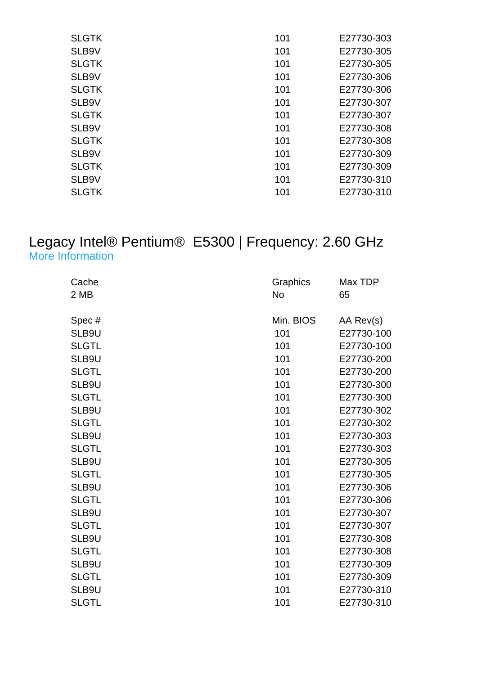| <b>SLGTK</b> | 101 | E27730-303 |
|--------------|-----|------------|
| SLB9V        | 101 | E27730-305 |
| <b>SLGTK</b> | 101 | E27730-305 |
| SLB9V        | 101 | E27730-306 |
| <b>SLGTK</b> | 101 | E27730-306 |
| SLB9V        | 101 | E27730-307 |
| <b>SLGTK</b> | 101 | E27730-307 |
| SLB9V        | 101 | E27730-308 |
| <b>SLGTK</b> | 101 | E27730-308 |
| SLB9V        | 101 | E27730-309 |
| <b>SLGTK</b> | 101 | E27730-309 |
| SLB9V        | 101 | E27730-310 |
| <b>SLGTK</b> | 101 | E27730-310 |
|              |     |            |

#### Legacy Intel® Pentium® E5300 | Frequency: 2.60 GHz [More Information](http://ark.intel.com/Product.aspx?spec=SLB9U)

| Cache        | Graphics  | Max TDP    |
|--------------|-----------|------------|
| 2 MB         | <b>No</b> | 65         |
| Spec#        | Min. BIOS | AA Rev(s)  |
| SLB9U        | 101       | E27730-100 |
| <b>SLGTL</b> | 101       | E27730-100 |
| SLB9U        | 101       | E27730-200 |
| <b>SLGTL</b> | 101       | E27730-200 |
| SLB9U        | 101       | E27730-300 |
| <b>SLGTL</b> | 101       | E27730-300 |
| SLB9U        | 101       | E27730-302 |
| <b>SLGTL</b> | 101       | E27730-302 |
|              | 101       |            |
| SLB9U        |           | E27730-303 |
| <b>SLGTL</b> | 101       | E27730-303 |
| SLB9U        | 101       | E27730-305 |
| <b>SLGTL</b> | 101       | E27730-305 |
| SLB9U        | 101       | E27730-306 |
| <b>SLGTL</b> | 101       | E27730-306 |
| SLB9U        | 101       | E27730-307 |
| <b>SLGTL</b> | 101       | E27730-307 |
| SLB9U        | 101       | E27730-308 |
| <b>SLGTL</b> | 101       | E27730-308 |
| SLB9U        | 101       | E27730-309 |
| <b>SLGTL</b> | 101       | E27730-309 |
| SLB9U        | 101       | E27730-310 |
| <b>SLGTL</b> | 101       | E27730-310 |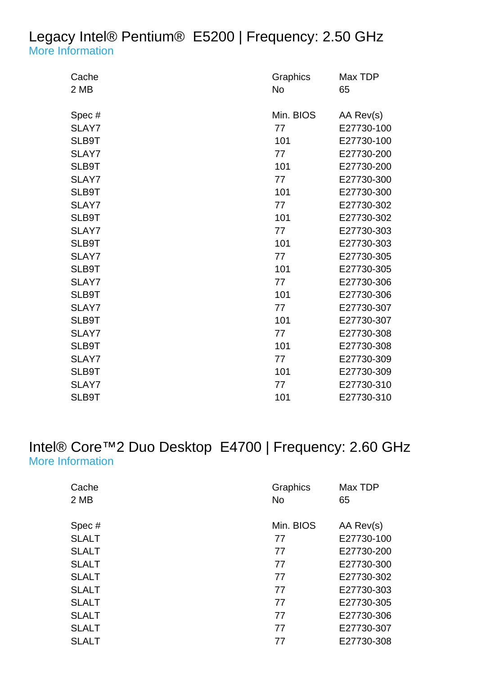## Legacy Intel® Pentium® E5200 | Frequency: 2.50 GHz [More Information](http://ark.intel.com/Product.aspx?spec=SLAY7)

| Cache | Graphics  | Max TDP    |
|-------|-----------|------------|
| 2 MB  | No        | 65         |
|       |           |            |
| Spec# | Min. BIOS | AA Rev(s)  |
| SLAY7 | 77        | E27730-100 |
| SLB9T | 101       | E27730-100 |
| SLAY7 | 77        | E27730-200 |
| SLB9T | 101       | E27730-200 |
| SLAY7 | 77        | E27730-300 |
| SLB9T | 101       | E27730-300 |
| SLAY7 | 77        | E27730-302 |
| SLB9T | 101       | E27730-302 |
| SLAY7 | 77        | E27730-303 |
| SLB9T | 101       | E27730-303 |
| SLAY7 | 77        | E27730-305 |
| SLB9T | 101       | E27730-305 |
| SLAY7 | 77        | E27730-306 |
| SLB9T | 101       | E27730-306 |
| SLAY7 | 77        | E27730-307 |
| SLB9T | 101       | E27730-307 |
| SLAY7 | 77        | E27730-308 |
| SLB9T | 101       | E27730-308 |
| SLAY7 | 77        | E27730-309 |
| SLB9T | 101       | E27730-309 |
| SLAY7 | 77        | E27730-310 |
| SLB9T | 101       | E27730-310 |

## Intel® Core™2 Duo Desktop E4700 | Frequency: 2.60 GHz [More Information](http://ark.intel.com/Product.aspx?spec=SLALT                                              )

| Cache<br>2 MB | <b>Graphics</b><br><b>No</b> | Max TDP<br>65 |
|---------------|------------------------------|---------------|
| Spec#         | Min. BIOS                    | AA Rev(s)     |
| <b>SLALT</b>  | 77                           | E27730-100    |
| <b>SLALT</b>  | 77                           | E27730-200    |
| <b>SLALT</b>  | 77                           | E27730-300    |
| <b>SLALT</b>  | 77                           | E27730-302    |
| <b>SLALT</b>  | 77                           | E27730-303    |
| <b>SLALT</b>  | 77                           | E27730-305    |
| <b>SLALT</b>  | 77                           | E27730-306    |
| <b>SLALT</b>  | 77                           | E27730-307    |
| <b>SLALT</b>  | 77                           | E27730-308    |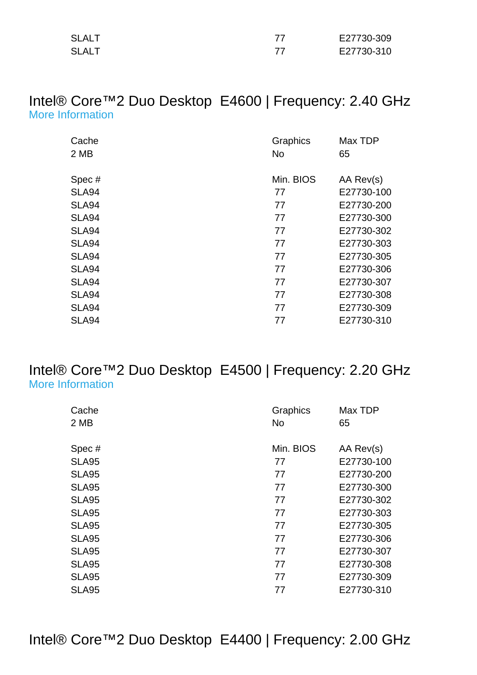| SLALT | E27730-309 |
|-------|------------|
| SLALT | E27730-310 |

#### Intel® Core™2 Duo Desktop E4600 | Frequency: 2.40 GHz [More Information](http://ark.intel.com/Product.aspx?spec=SLA94                                              )

| Cache        | Graphics  | Max TDP    |
|--------------|-----------|------------|
| 2 MB         | <b>No</b> | 65         |
|              |           |            |
| Spec#        | Min. BIOS | AA Rev(s)  |
| <b>SLA94</b> | 77        | E27730-100 |
| SLA94        | 77        | E27730-200 |
| <b>SLA94</b> | 77        | E27730-300 |
| SLA94        | 77        | E27730-302 |
| <b>SLA94</b> | 77        | E27730-303 |
| <b>SLA94</b> | 77        | E27730-305 |
| <b>SLA94</b> | 77        | E27730-306 |
| SLA94        | 77        | E27730-307 |
| <b>SLA94</b> | 77        | E27730-308 |
| <b>SLA94</b> | 77        | E27730-309 |
| <b>SLA94</b> | 77        | E27730-310 |

## Intel® Core™2 Duo Desktop E4500 | Frequency: 2.20 GHz [More Information](http://ark.intel.com/Product.aspx?spec=SLA95                                              )

| Cache        | Graphics  | Max TDP    |
|--------------|-----------|------------|
| 2 MB         | <b>No</b> | 65         |
|              |           |            |
| Spec#        | Min. BIOS | AA Rev(s)  |
| <b>SLA95</b> | 77        | E27730-100 |
| <b>SLA95</b> | 77        | E27730-200 |
| <b>SLA95</b> | 77        | E27730-300 |
| <b>SLA95</b> | 77        | E27730-302 |
| <b>SLA95</b> | 77        | E27730-303 |
| <b>SLA95</b> | 77        | E27730-305 |
| <b>SLA95</b> | 77        | E27730-306 |
| <b>SLA95</b> | 77        | E27730-307 |
| <b>SLA95</b> | 77        | E27730-308 |
| <b>SLA95</b> | 77        | E27730-309 |
| <b>SLA95</b> | 77        | E27730-310 |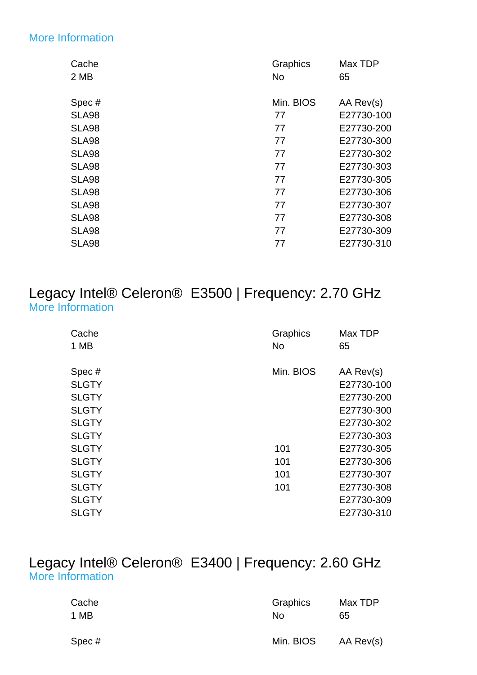#### [More Information](http://ark.intel.com/Product.aspx?spec=SLA98                                              )

| Cache        | Graphics  | Max TDP    |
|--------------|-----------|------------|
| 2 MB         | No        | 65         |
| Spec#        | Min. BIOS | AA Rev(s)  |
| <b>SLA98</b> | 77        | E27730-100 |
| <b>SLA98</b> | 77        | E27730-200 |
| <b>SLA98</b> | 77        | E27730-300 |
| SLA98        | 77        | E27730-302 |
| <b>SLA98</b> | 77        | E27730-303 |
| <b>SLA98</b> | 77        | E27730-305 |
| <b>SLA98</b> | 77        | E27730-306 |
| <b>SLA98</b> | 77        | E27730-307 |
| <b>SLA98</b> | 77        | E27730-308 |
| <b>SLA98</b> | 77        | E27730-309 |
| <b>SLA98</b> | 77        | E27730-310 |
|              |           |            |

## Legacy Intel® Celeron® E3500 | Frequency: 2.70 GHz [More Information](http://ark.intel.com/Product.aspx?spec=SLGTY)

| Cache<br>1 MB         | Graphics<br><b>No</b> | Max TDP<br>65           |
|-----------------------|-----------------------|-------------------------|
| Spec#<br><b>SLGTY</b> | Min. BIOS             | AA Rev(s)<br>E27730-100 |
| <b>SLGTY</b>          |                       | E27730-200              |
| <b>SLGTY</b>          |                       | E27730-300              |
| <b>SLGTY</b>          |                       | E27730-302              |
| <b>SLGTY</b>          |                       | E27730-303              |
| <b>SLGTY</b>          | 101                   | E27730-305              |
| <b>SLGTY</b>          | 101                   | E27730-306              |
| <b>SLGTY</b>          | 101                   | E27730-307              |
| <b>SLGTY</b>          | 101                   | E27730-308              |
| <b>SLGTY</b>          |                       | E27730-309              |
| <b>SLGTY</b>          |                       | E27730-310              |

## Legacy Intel® Celeron® E3400 | Frequency: 2.60 GHz [More Information](http://ark.intel.com/Product.aspx?spec=SLGTZ)

| Cache | Graphics  | Max TDP   |
|-------|-----------|-----------|
| 1 MB  | No        | 65        |
| Spec# | Min. BIOS | AA Rev(s) |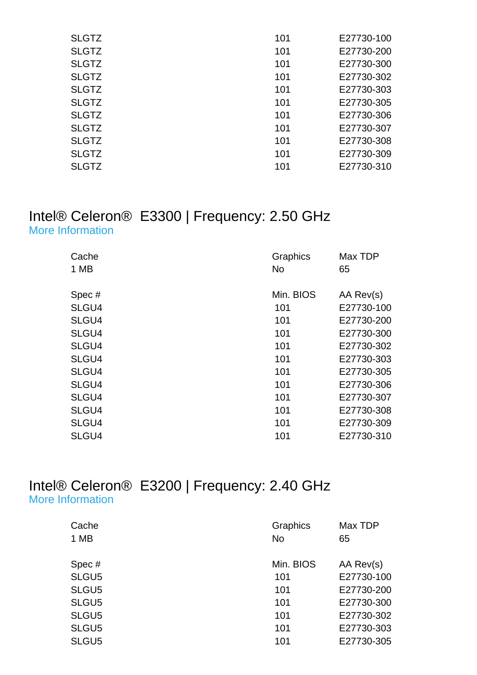| <b>SLGTZ</b> | 101 | E27730-100 |
|--------------|-----|------------|
| <b>SLGTZ</b> | 101 | E27730-200 |
| <b>SLGTZ</b> | 101 | E27730-300 |
| <b>SLGTZ</b> | 101 | E27730-302 |
| <b>SLGTZ</b> | 101 | E27730-303 |
| <b>SLGTZ</b> | 101 | E27730-305 |
| <b>SLGTZ</b> | 101 | E27730-306 |
| <b>SLGTZ</b> | 101 | E27730-307 |
| <b>SLGTZ</b> | 101 | E27730-308 |
| <b>SLGTZ</b> | 101 | E27730-309 |
| <b>SLGTZ</b> | 101 | E27730-310 |
|              |     |            |

#### Intel® Celeron® E3300 | Frequency: 2.50 GHz [More Information](http://ark.intel.com/Product.aspx?spec=SLGU4)

| Cache | Graphics  | Max TDP    |
|-------|-----------|------------|
| 1 MB  | <b>No</b> | 65         |
| Spec# | Min. BIOS | AA Rev(s)  |
|       |           |            |
| SLGU4 | 101       | E27730-100 |
| SLGU4 | 101       | E27730-200 |
| SLGU4 | 101       | E27730-300 |
| SLGU4 | 101       | E27730-302 |
| SLGU4 | 101       | E27730-303 |
| SLGU4 | 101       | E27730-305 |
| SLGU4 | 101       | E27730-306 |
| SLGU4 | 101       | E27730-307 |
| SLGU4 | 101       | E27730-308 |
| SLGU4 | 101       | E27730-309 |
| SLGU4 | 101       | E27730-310 |

#### Intel® Celeron® E3200 | Frequency: 2.40 GHz [More Information](http://ark.intel.com/Product.aspx?spec=SLGU5)

| Cache | <b>Graphics</b> | Max TDP    |
|-------|-----------------|------------|
| 1 MB  | <b>No</b>       | 65         |
| Spec# | Min. BIOS       | AA Rev(s)  |
| SLGU5 | 101             | E27730-100 |
| SLGU5 | 101             | E27730-200 |
| SLGU5 | 101             | E27730-300 |
| SLGU5 | 101             | E27730-302 |
| SLGU5 | 101             | E27730-303 |
| SLGU5 | 101             | E27730-305 |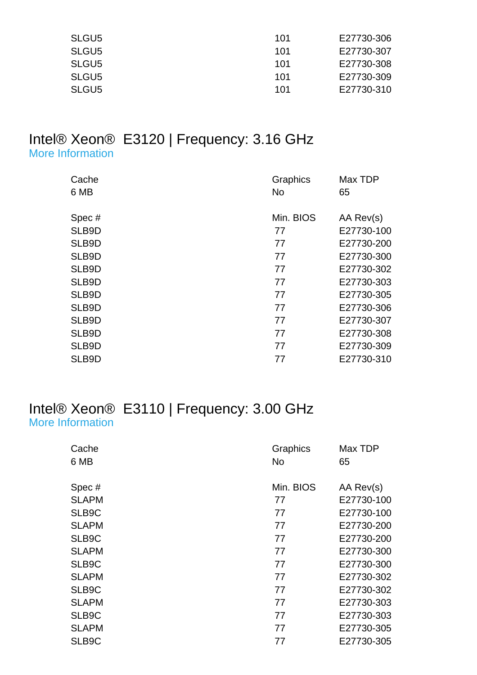| SLGU <sub>5</sub> | 101 | E27730-306 |
|-------------------|-----|------------|
| SLGU <sub>5</sub> | 101 | E27730-307 |
| SLGU <sub>5</sub> | 101 | E27730-308 |
| SLGU <sub>5</sub> | 101 | E27730-309 |
| SLGU <sub>5</sub> | 101 | E27730-310 |

#### Intel® Xeon® E3120 | Frequency: 3.16 GHz [More Information](http://ark.intel.com/Product.aspx?spec=SLB9D)

| Cache | Graphics  | Max TDP    |
|-------|-----------|------------|
| 6 MB  | No        | 65         |
|       |           |            |
| Spec# | Min. BIOS | AA Rev(s)  |
| SLB9D | 77        | E27730-100 |
| SLB9D | 77        | E27730-200 |
| SLB9D | 77        | E27730-300 |
| SLB9D | 77        | E27730-302 |
| SLB9D | 77        | E27730-303 |
| SLB9D | 77        | E27730-305 |
| SLB9D | 77        | E27730-306 |
| SLB9D | 77        | E27730-307 |
| SLB9D | 77        | E27730-308 |
| SLB9D | 77        | E27730-309 |
| SLB9D | 77        | E27730-310 |

## Intel® Xeon® E3110 | Frequency: 3.00 GHz [More Information](http://ark.intel.com/Product.aspx?spec=SLAPM)

| Cache        | Graphics  | Max TDP    |
|--------------|-----------|------------|
| 6 MB         | No        | 65         |
|              |           |            |
| Spec#        | Min. BIOS | AA Rev(s)  |
| <b>SLAPM</b> | 77        | E27730-100 |
| SLB9C        | 77        | E27730-100 |
| <b>SLAPM</b> | 77        | E27730-200 |
| SLB9C        | 77        | E27730-200 |
| <b>SLAPM</b> | 77        | E27730-300 |
| SLB9C        | 77        | E27730-300 |
| <b>SLAPM</b> | 77        | E27730-302 |
| SLB9C        | 77        | E27730-302 |
| <b>SLAPM</b> | 77        | E27730-303 |
| SLB9C        | 77        | E27730-303 |
| <b>SLAPM</b> | 77        | E27730-305 |
| SLB9C        | 77        | E27730-305 |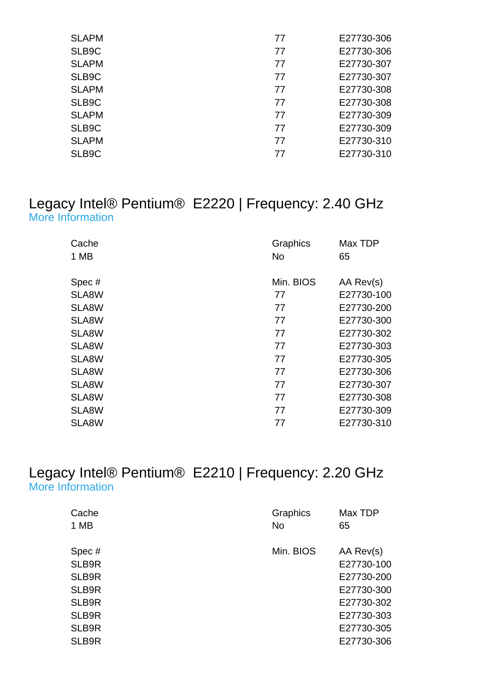| <b>SLAPM</b> | 77 | E27730-306 |
|--------------|----|------------|
| SLB9C        | 77 | E27730-306 |
| <b>SLAPM</b> | 77 | E27730-307 |
| SLB9C        | 77 | E27730-307 |
| <b>SLAPM</b> | 77 | E27730-308 |
| SLB9C        | 77 | E27730-308 |
| <b>SLAPM</b> | 77 | E27730-309 |
| SLB9C        | 77 | E27730-309 |
| <b>SLAPM</b> | 77 | E27730-310 |
| SLB9C        | 77 | E27730-310 |

#### Legacy Intel® Pentium® E2220 | Frequency: 2.40 GHz [More Information](http://ark.intel.com/Product.aspx?spec=SLA8W                                              )

| Cache<br>1 MB | Graphics<br><b>No</b> | Max TDP<br>65 |
|---------------|-----------------------|---------------|
|               |                       |               |
| Spec#         | Min. BIOS             | AA Rev(s)     |
| SLA8W         | 77                    | E27730-100    |
| SLA8W         | 77                    | E27730-200    |
| SLA8W         | 77                    | E27730-300    |
| SLA8W         | 77                    | E27730-302    |
| SLA8W         | 77                    | E27730-303    |
| SLA8W         | 77                    | E27730-305    |
| SLA8W         | 77                    | E27730-306    |
| SLA8W         | 77                    | E27730-307    |
| SLA8W         | 77                    | E27730-308    |
| SLA8W         | 77                    | E27730-309    |
| SLA8W         | 77                    | E27730-310    |

#### Legacy Intel® Pentium® E2210 | Frequency: 2.20 GHz [More Information](http://ark.intel.com/Product.aspx?spec=SLB9R)

| Cache | Graphics  | Max TDP    |
|-------|-----------|------------|
| 1 MB  | <b>No</b> | 65         |
|       |           |            |
| Spec# | Min. BIOS | AA Rev(s)  |
| SLB9R |           | E27730-100 |
| SLB9R |           | E27730-200 |
| SLB9R |           | E27730-300 |
| SLB9R |           | E27730-302 |
| SLB9R |           | E27730-303 |
| SLB9R |           | E27730-305 |
| SLB9R |           | E27730-306 |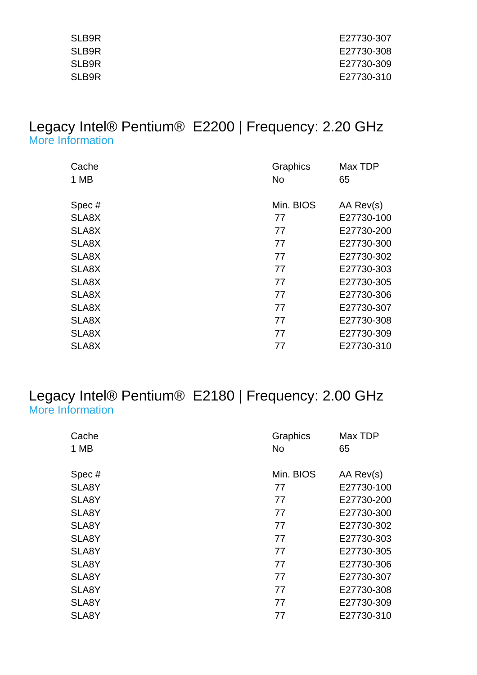| SLB9R | E27730-307 |
|-------|------------|
| SLB9R | E27730-308 |
| SLB9R | E27730-309 |
| SLB9R | E27730-310 |

## Legacy Intel® Pentium® E2200 | Frequency: 2.20 GHz [More Information](http://ark.intel.com/Product.aspx?spec=SLA8X                                              )

| Cache | Graphics  | Max TDP    |
|-------|-----------|------------|
| 1 MB  | <b>No</b> | 65         |
|       |           |            |
| Spec# | Min. BIOS | AA Rev(s)  |
| SLA8X | 77        | E27730-100 |
| SLA8X | 77        | E27730-200 |
| SLA8X | 77        | E27730-300 |
| SLA8X | 77        | E27730-302 |
| SLA8X | 77        | E27730-303 |
| SLA8X | 77        | E27730-305 |
| SLA8X | 77        | E27730-306 |
| SLA8X | 77        | E27730-307 |
| SLA8X | 77        | E27730-308 |
| SLA8X | 77        | E27730-309 |
| SLA8X | 77        | E27730-310 |

#### Legacy Intel® Pentium® E2180 | Frequency: 2.00 GHz [More Information](http://ark.intel.com/Product.aspx?spec=SLA8Y                                              )

| Cache<br>1 MB | Graphics<br><b>No</b> | Max TDP<br>65 |
|---------------|-----------------------|---------------|
| Spec#         | Min. BIOS             | AA Rev(s)     |
| SLA8Y         | 77                    | E27730-100    |
| SLA8Y         | 77                    | E27730-200    |
| SLA8Y         | 77                    | E27730-300    |
| SLA8Y         | 77                    | E27730-302    |
| SLA8Y         | 77                    | E27730-303    |
| SLA8Y         | 77                    | E27730-305    |
| SLA8Y         | 77                    | E27730-306    |
| SLA8Y         | 77                    | E27730-307    |
| SLA8Y         | 77                    | E27730-308    |
| SLA8Y         | 77                    | E27730-309    |
| SLA8Y         | 77                    | E27730-310    |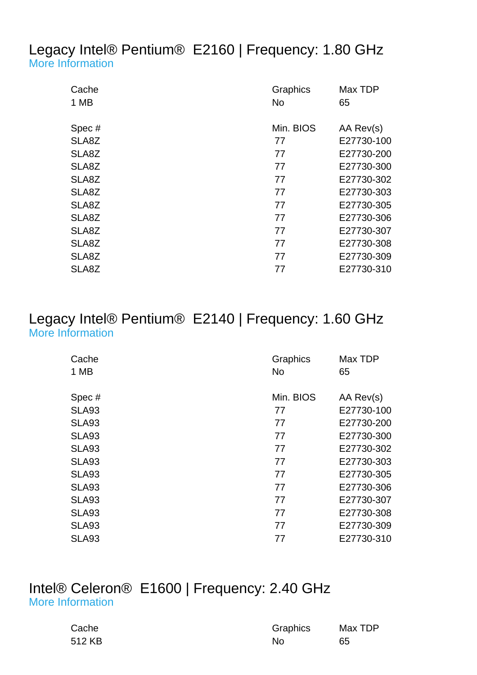## Legacy Intel® Pentium® E2160 | Frequency: 1.80 GHz [More Information](http://ark.intel.com/Product.aspx?spec=SLA8Z                                              )

| Cache<br>1 MB | Graphics<br><b>No</b> | Max TDP<br>65 |
|---------------|-----------------------|---------------|
|               |                       |               |
| Spec#         | Min. BIOS             | AA Rev(s)     |
| SLA8Z         | 77                    | E27730-100    |
| SLA8Z         | 77                    | E27730-200    |
| SLA8Z         | 77                    | E27730-300    |
| SLA8Z         | 77                    | E27730-302    |
| SLA8Z         | 77                    | E27730-303    |
| SLA8Z         | 77                    | E27730-305    |
| SLA8Z         | 77                    | E27730-306    |
| SLA8Z         | 77                    | E27730-307    |
| SLA8Z         | 77                    | E27730-308    |
| SLA8Z         | 77                    | E27730-309    |
| SLA8Z         | 77                    | E27730-310    |

## Legacy Intel® Pentium® E2140 | Frequency: 1.60 GHz [More Information](http://ark.intel.com/Product.aspx?spec=SLA93                                              )

| Cache<br>1 MB | Graphics<br>No | Max TDP<br>65 |
|---------------|----------------|---------------|
|               |                |               |
| Spec#         | Min. BIOS      | AA Rev(s)     |
| <b>SLA93</b>  | 77             | E27730-100    |
| <b>SLA93</b>  | 77             | E27730-200    |
| <b>SLA93</b>  | 77             | E27730-300    |
| <b>SLA93</b>  | 77             | E27730-302    |
| <b>SLA93</b>  | 77             | E27730-303    |
| <b>SLA93</b>  | 77             | E27730-305    |
| <b>SLA93</b>  | 77             | E27730-306    |
| <b>SLA93</b>  | 77             | E27730-307    |
| <b>SLA93</b>  | 77             | E27730-308    |
| <b>SLA93</b>  | 77             | E27730-309    |
| <b>SLA93</b>  | 77             | E27730-310    |

#### Intel® Celeron® E1600 | Frequency: 2.40 GHz [More Information](http://ark.intel.com/Product.aspx?spec=SLAQY                                              )

| Cache  | Graphics | Max TDP |
|--------|----------|---------|
| 512 KB | No       | 65      |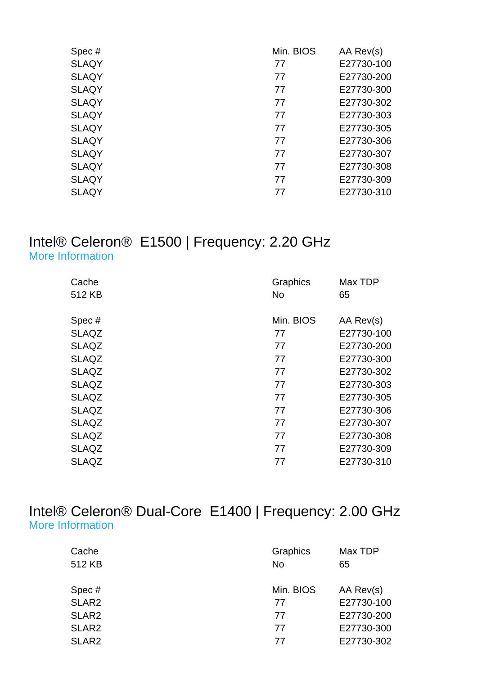| Spec#        | Min. BIOS | AA Rev(s)  |
|--------------|-----------|------------|
| <b>SLAQY</b> | 77        | E27730-100 |
| <b>SLAQY</b> | 77        | E27730-200 |
| <b>SLAQY</b> | 77        | E27730-300 |
| <b>SLAQY</b> | 77        | E27730-302 |
| <b>SLAQY</b> | 77        | E27730-303 |
| <b>SLAQY</b> | 77        | E27730-305 |
| <b>SLAQY</b> | 77        | E27730-306 |
| <b>SLAQY</b> | 77        | E27730-307 |
| <b>SLAQY</b> | 77        | E27730-308 |
| <b>SLAQY</b> | 77        | E27730-309 |
| <b>SLAQY</b> | 77        | E27730-310 |

#### Intel® Celeron® E1500 | Frequency: 2.20 GHz [More Information](http://ark.intel.com/Product.aspx?spec=SLAQZ                                              )

| Graphics  | Max TDP    |
|-----------|------------|
| <b>No</b> | 65         |
|           |            |
| Min. BIOS | AA Rev(s)  |
| 77        | E27730-100 |
| 77        | E27730-200 |
| 77        | E27730-300 |
| 77        | E27730-302 |
| 77        | E27730-303 |
| 77        | E27730-305 |
| 77        | E27730-306 |
| 77        | E27730-307 |
| 77        | E27730-308 |
| 77        | E27730-309 |
| 77        | E27730-310 |
|           |            |

## Intel® Celeron® Dual-Core E1400 | Frequency: 2.00 GHz [More Information](http://ark.intel.com/Product.aspx?spec=SLAR2                                              )

| Cache             | Graphics  | Max TDP    |
|-------------------|-----------|------------|
| 512 KB            | <b>No</b> | 65         |
|                   |           |            |
| Spec#             | Min. BIOS | AA Rev(s)  |
| SLAR <sub>2</sub> | 77        | E27730-100 |
| SLAR <sub>2</sub> | 77        | E27730-200 |
| SLAR <sub>2</sub> | 77        | E27730-300 |
| SLAR <sub>2</sub> | 77        | E27730-302 |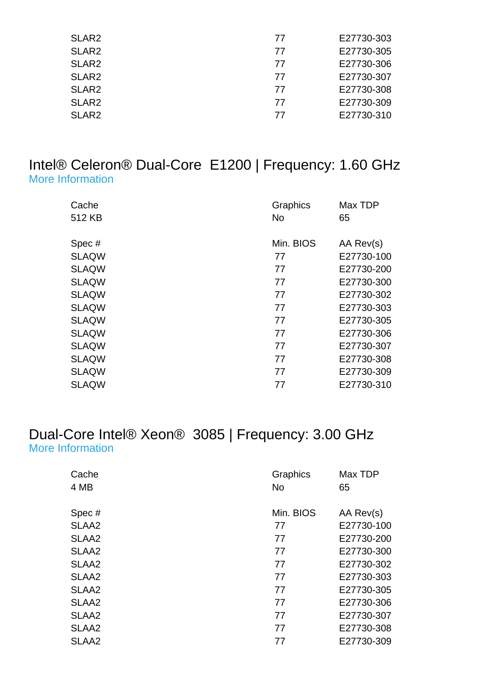| SLAR <sub>2</sub> | 77 | E27730-303 |
|-------------------|----|------------|
| SLAR <sub>2</sub> | 77 | E27730-305 |
| SLAR <sub>2</sub> | 77 | E27730-306 |
| SLAR <sub>2</sub> | 77 | E27730-307 |
| SLAR <sub>2</sub> | 77 | E27730-308 |
| SLAR <sub>2</sub> | 77 | E27730-309 |
| SLAR <sub>2</sub> | 77 | E27730-310 |

## Intel® Celeron® Dual-Core E1200 | Frequency: 1.60 GHz [More Information](http://ark.intel.com/Product.aspx?spec=SLAQW                                              )

| Cache<br>512 KB | Graphics<br><b>No</b> | Max TDP<br>65 |
|-----------------|-----------------------|---------------|
| Spec#           | Min. BIOS             | AA Rev(s)     |
| <b>SLAQW</b>    | 77                    | E27730-100    |
| <b>SLAQW</b>    | 77                    | E27730-200    |
| <b>SLAQW</b>    | 77                    | E27730-300    |
| <b>SLAQW</b>    | 77                    | E27730-302    |
| <b>SLAQW</b>    | 77                    | E27730-303    |
| <b>SLAQW</b>    | 77                    | E27730-305    |
| <b>SLAQW</b>    | 77                    | E27730-306    |
| <b>SLAQW</b>    | 77                    | E27730-307    |
| <b>SLAQW</b>    | 77                    | E27730-308    |
| <b>SLAQW</b>    | 77                    | E27730-309    |
| <b>SLAQW</b>    | 77                    | E27730-310    |

## Dual-Core Intel® Xeon® 3085 | Frequency: 3.00 GHz [More Information](http://www.intel.com/p/en_US/support/highlights/processors/xeon3000)

| Cache<br>4 MB     | Graphics<br>No | Max TDP<br>65 |
|-------------------|----------------|---------------|
| Spec#             | Min. BIOS      | AA Rev(s)     |
| SLAA <sub>2</sub> | 77             | E27730-100    |
| SLAA <sub>2</sub> | 77             | E27730-200    |
| SLAA <sub>2</sub> | 77             | E27730-300    |
| SLAA <sub>2</sub> | 77             | E27730-302    |
| SLAA <sub>2</sub> | 77             | E27730-303    |
| SLAA <sub>2</sub> | 77             | E27730-305    |
| SLAA <sub>2</sub> | 77             | E27730-306    |
| SLAA <sub>2</sub> | 77             | E27730-307    |
| SLAA <sub>2</sub> | 77             | E27730-308    |
| SLAA <sub>2</sub> | 77             | E27730-309    |